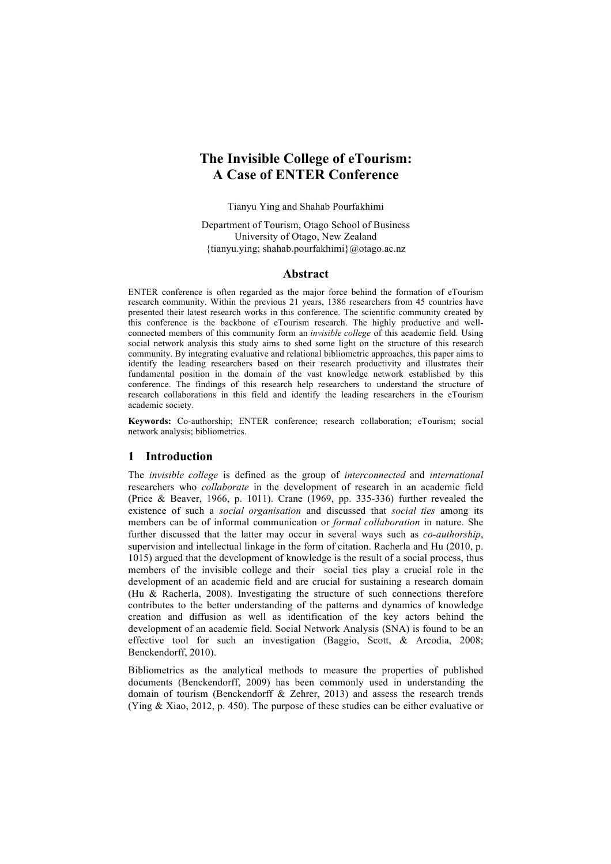# **The Invisible College of eTourism: A Case of ENTER Conference**

Tianyu Ying and Shahab Pourfakhimi

Department of Tourism, Otago School of Business University of Otago, New Zealand {tianyu.ying; shahab.pourfakhimi}@otago.ac.nz

#### **Abstract**

ENTER conference is often regarded as the major force behind the formation of eTourism research community. Within the previous 21 years, 1386 researchers from 45 countries have presented their latest research works in this conference. The scientific community created by this conference is the backbone of eTourism research. The highly productive and wellconnected members of this community form an *invisible college* of this academic field*.* Using social network analysis this study aims to shed some light on the structure of this research community. By integrating evaluative and relational bibliometric approaches, this paper aims to identify the leading researchers based on their research productivity and illustrates their fundamental position in the domain of the vast knowledge network established by this conference. The findings of this research help researchers to understand the structure of research collaborations in this field and identify the leading researchers in the eTourism academic society.

**Keywords:** Co-authorship; ENTER conference; research collaboration; eTourism; social network analysis; bibliometrics.

## **1 Introduction**

The *invisible college* is defined as the group of *interconnected* and *international* researchers who *collaborate* in the development of research in an academic field (Price & Beaver, 1966, p. 1011). Crane (1969, pp. 335-336) further revealed the existence of such a *social organisation* and discussed that *social ties* among its members can be of informal communication or *formal collaboration* in nature. She further discussed that the latter may occur in several ways such as *co-authorship*, supervision and intellectual linkage in the form of citation. Racherla and Hu (2010, p. 1015) argued that the development of knowledge is the result of a social process, thus members of the invisible college and their social ties play a crucial role in the development of an academic field and are crucial for sustaining a research domain (Hu & Racherla, 2008). Investigating the structure of such connections therefore contributes to the better understanding of the patterns and dynamics of knowledge creation and diffusion as well as identification of the key actors behind the development of an academic field. Social Network Analysis (SNA) is found to be an effective tool for such an investigation (Baggio, Scott, & Arcodia, 2008; Benckendorff, 2010).

Bibliometrics as the analytical methods to measure the properties of published documents (Benckendorff, 2009) has been commonly used in understanding the domain of tourism (Benckendorff & Zehrer, 2013) and assess the research trends (Ying & Xiao, 2012, p. 450). The purpose of these studies can be either evaluative or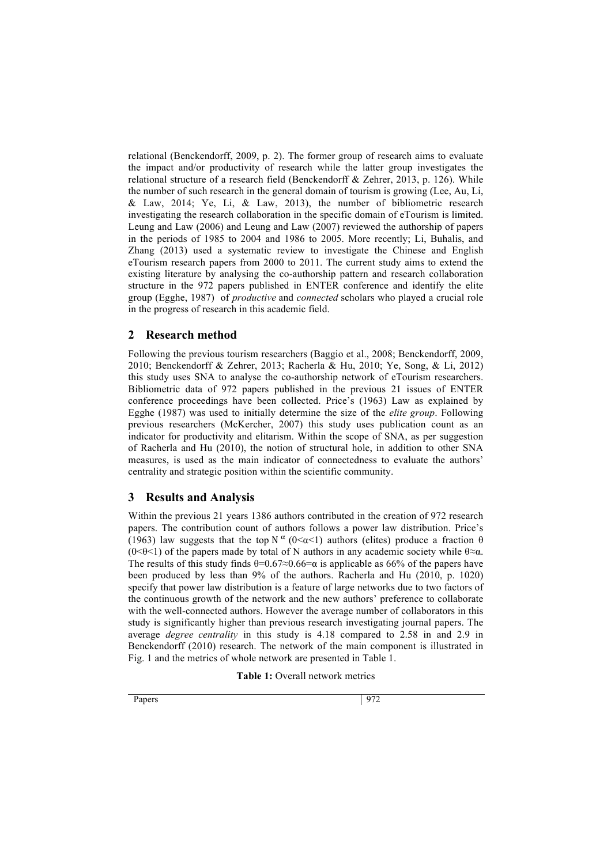relational (Benckendorff, 2009, p. 2). The former group of research aims to evaluate the impact and/or productivity of research while the latter group investigates the relational structure of a research field (Benckendorff & Zehrer, 2013, p. 126). While the number of such research in the general domain of tourism is growing (Lee, Au, Li, & Law, 2014; Ye, Li, & Law, 2013), the number of bibliometric research investigating the research collaboration in the specific domain of eTourism is limited. Leung and Law (2006) and Leung and Law (2007) reviewed the authorship of papers in the periods of 1985 to 2004 and 1986 to 2005. More recently; Li, Buhalis, and Zhang (2013) used a systematic review to investigate the Chinese and English eTourism research papers from 2000 to 2011. The current study aims to extend the existing literature by analysing the co-authorship pattern and research collaboration structure in the 972 papers published in ENTER conference and identify the elite group (Egghe, 1987) of *productive* and *connected* scholars who played a crucial role in the progress of research in this academic field.

## **2 Research method**

Following the previous tourism researchers (Baggio et al., 2008; Benckendorff, 2009, 2010; Benckendorff & Zehrer, 2013; Racherla & Hu, 2010; Ye, Song, & Li, 2012) this study uses SNA to analyse the co-authorship network of eTourism researchers. Bibliometric data of 972 papers published in the previous 21 issues of ENTER conference proceedings have been collected. Price's (1963) Law as explained by Egghe (1987) was used to initially determine the size of the *elite group*. Following previous researchers (McKercher, 2007) this study uses publication count as an indicator for productivity and elitarism. Within the scope of SNA, as per suggestion of Racherla and Hu (2010), the notion of structural hole, in addition to other SNA measures, is used as the main indicator of connectedness to evaluate the authors' centrality and strategic position within the scientific community.

### **3 Results and Analysis**

Within the previous 21 years 1386 authors contributed in the creation of 972 research papers. The contribution count of authors follows a power law distribution. Price's (1963) law suggests that the top N  $\alpha$  (0< $\alpha$ <1) authors (elites) produce a fraction  $\theta$ (0< $\theta$ <1) of the papers made by total of N authors in any academic society while  $\theta \approx \alpha$ . The results of this study finds  $\theta=0.67\approx0.66=a$  is applicable as 66% of the papers have been produced by less than 9% of the authors. Racherla and Hu (2010, p. 1020) specify that power law distribution is a feature of large networks due to two factors of the continuous growth of the network and the new authors' preference to collaborate with the well-connected authors. However the average number of collaborators in this study is significantly higher than previous research investigating journal papers. The average *degree centrality* in this study is 4.18 compared to 2.58 in and 2.9 in Benckendorff (2010) research. The network of the main component is illustrated in Fig. 1 and the metrics of whole network are presented in Table 1.

**Table 1:** Overall network metrics

Papers 972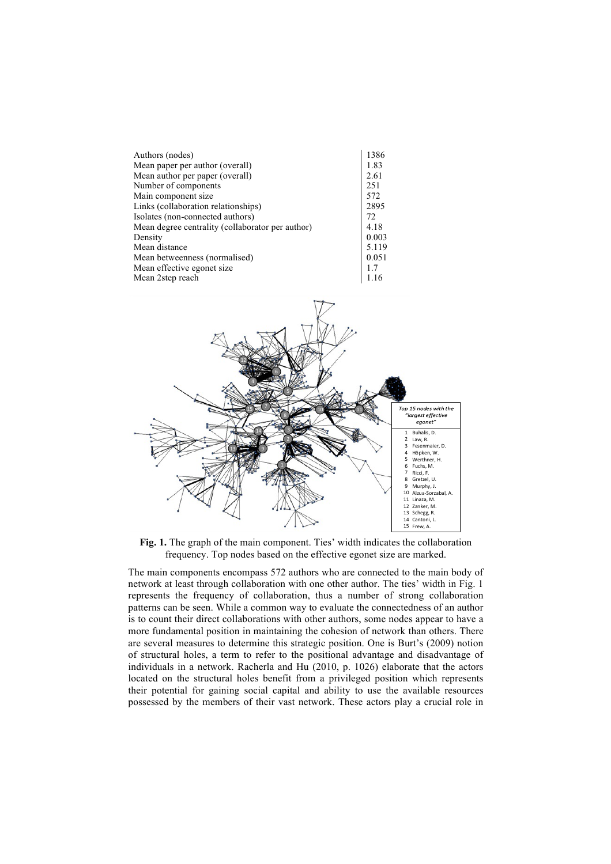|                                                  | 1386  |
|--------------------------------------------------|-------|
| Authors (nodes)                                  |       |
| Mean paper per author (overall)                  | 1.83  |
| Mean author per paper (overall)                  | 2.61  |
| Number of components                             | 251   |
| Main component size                              | 572   |
| Links (collaboration relationships)              | 2895  |
| Isolates (non-connected authors)                 | 72    |
| Mean degree centrality (collaborator per author) | 4.18  |
| Density                                          | 0.003 |
| Mean distance                                    | 5.119 |
| Mean betweenness (normalised)                    | 0.051 |
| Mean effective egonet size.                      | 1.7   |
| Mean 2step reach                                 |       |



**Fig. 1.** The graph of the main component. Ties' width indicates the collaboration frequency. Top nodes based on the effective egonet size are marked.

The main components encompass 572 authors who are connected to the main body of network at least through collaboration with one other author. The ties' width in Fig. 1 represents the frequency of collaboration, thus a number of strong collaboration patterns can be seen. While a common way to evaluate the connectedness of an author is to count their direct collaborations with other authors, some nodes appear to have a more fundamental position in maintaining the cohesion of network than others. There are several measures to determine this strategic position. One is Burt's (2009) notion of structural holes, a term to refer to the positional advantage and disadvantage of individuals in a network. Racherla and Hu (2010, p. 1026) elaborate that the actors located on the structural holes benefit from a privileged position which represents their potential for gaining social capital and ability to use the available resources possessed by the members of their vast network. These actors play a crucial role in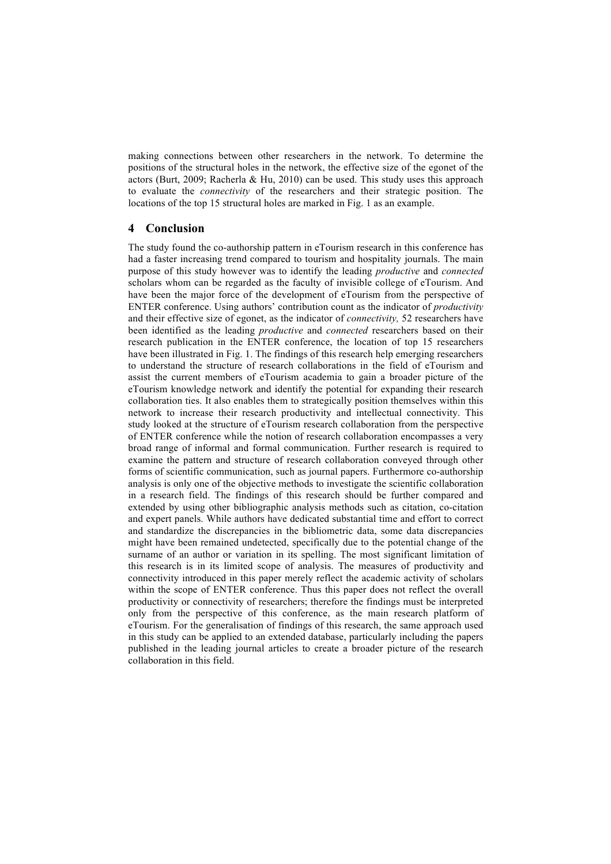making connections between other researchers in the network. To determine the positions of the structural holes in the network, the effective size of the egonet of the actors (Burt, 2009; Racherla & Hu, 2010) can be used. This study uses this approach to evaluate the *connectivity* of the researchers and their strategic position. The locations of the top 15 structural holes are marked in Fig. 1 as an example.

### **4 Conclusion**

The study found the co-authorship pattern in eTourism research in this conference has had a faster increasing trend compared to tourism and hospitality journals. The main purpose of this study however was to identify the leading *productive* and *connected*  scholars whom can be regarded as the faculty of invisible college of eTourism. And have been the major force of the development of eTourism from the perspective of ENTER conference. Using authors' contribution count as the indicator of *productivity* and their effective size of egonet, as the indicator of *connectivity,* 52 researchers have been identified as the leading *productive* and *connected* researchers based on their research publication in the ENTER conference, the location of top 15 researchers have been illustrated in Fig. 1. The findings of this research help emerging researchers to understand the structure of research collaborations in the field of eTourism and assist the current members of eTourism academia to gain a broader picture of the eTourism knowledge network and identify the potential for expanding their research collaboration ties. It also enables them to strategically position themselves within this network to increase their research productivity and intellectual connectivity. This study looked at the structure of eTourism research collaboration from the perspective of ENTER conference while the notion of research collaboration encompasses a very broad range of informal and formal communication. Further research is required to examine the pattern and structure of research collaboration conveyed through other forms of scientific communication, such as journal papers. Furthermore co-authorship analysis is only one of the objective methods to investigate the scientific collaboration in a research field. The findings of this research should be further compared and extended by using other bibliographic analysis methods such as citation, co-citation and expert panels. While authors have dedicated substantial time and effort to correct and standardize the discrepancies in the bibliometric data, some data discrepancies might have been remained undetected, specifically due to the potential change of the surname of an author or variation in its spelling. The most significant limitation of this research is in its limited scope of analysis. The measures of productivity and connectivity introduced in this paper merely reflect the academic activity of scholars within the scope of ENTER conference. Thus this paper does not reflect the overall productivity or connectivity of researchers; therefore the findings must be interpreted only from the perspective of this conference, as the main research platform of eTourism. For the generalisation of findings of this research, the same approach used in this study can be applied to an extended database, particularly including the papers published in the leading journal articles to create a broader picture of the research collaboration in this field.